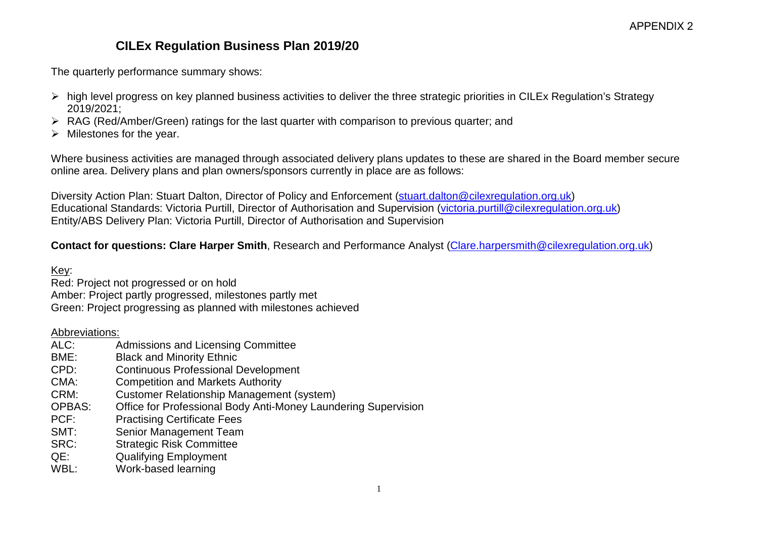## **CILEx Regulation Business Plan 2019/20**

The quarterly performance summary shows:

- $\triangleright$  high level progress on key planned business activities to deliver the three strategic priorities in CILEx Regulation's Strategy 2019/2021;
- RAG (Red/Amber/Green) ratings for the last quarter with comparison to previous quarter; and
- $\triangleright$  Milestones for the year.

Where business activities are managed through associated delivery plans updates to these are shared in the Board member secure online area. Delivery plans and plan owners/sponsors currently in place are as follows:

Diversity Action Plan: Stuart Dalton, Director of Policy and Enforcement [\(stuart.dalton@cilexregulation.org.uk\)](mailto:stuart.dalton@cilexregulation.org.uk) Educational Standards: Victoria Purtill, Director of Authorisation and Supervision [\(victoria.purtill@cilexregulation.org.uk\)](mailto:victoria.purtill@cilexregulation.org.uk) Entity/ABS Delivery Plan: Victoria Purtill, Director of Authorisation and Supervision

**Contact for questions: Clare Harper Smith**, Research and Performance Analyst [\(Clare.harpersmith@cilexregulation.org.uk\)](mailto:Clare.harpersmith@cilexregulation.org.uk)

#### Key:

Red: Project not progressed or on hold Amber: Project partly progressed, milestones partly met Green: Project progressing as planned with milestones achieved

# Abbreviations:<br>ALC:

- Admissions and Licensing Committee
- BME: Black and Minority Ethnic<br>CPD: Continuous Professional I
- Continuous Professional Development
- CMA: Competition and Markets Authority<br>CRM: Customer Relationship Management
- Customer Relationship Management (system)
- OPBAS: Office for Professional Body Anti-Money Laundering Supervision
- PCF: Practising Certificate Fees
- SMT: Senior Management Team
- SRC: Strategic Risk Committee
- QE: Qualifying Employment
- WBL: Work-based learning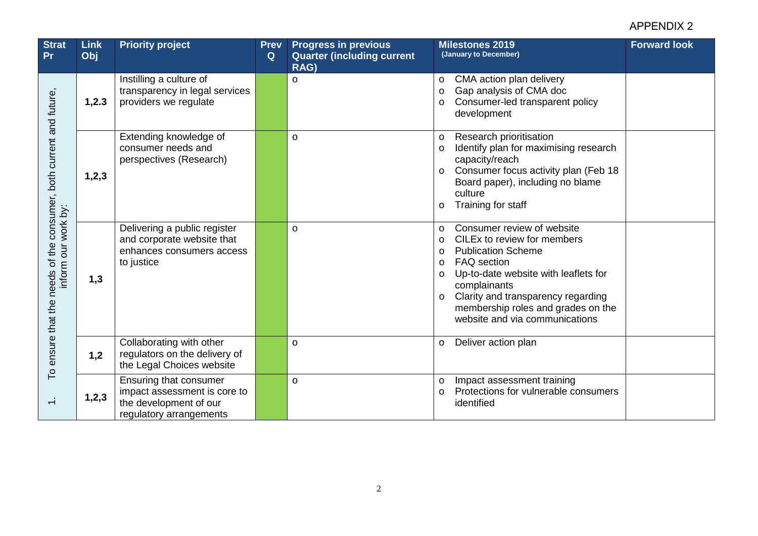| <b>Strat</b><br><b>Pr</b>                                                                    | <b>Link</b><br>Obj | <b>Priority project</b>                                                                                     | <b>Prev</b><br>Q | <b>Progress in previous</b><br><b>Quarter (including current)</b><br>RAG) | <b>Milestones 2019</b><br>(January to December)                                                                                                                                                                                                                                                                                                      | <b>Forward look</b> |
|----------------------------------------------------------------------------------------------|--------------------|-------------------------------------------------------------------------------------------------------------|------------------|---------------------------------------------------------------------------|------------------------------------------------------------------------------------------------------------------------------------------------------------------------------------------------------------------------------------------------------------------------------------------------------------------------------------------------------|---------------------|
| both current and future,<br>ensure that the needs of the consumer,<br>work by:<br>inform our | 1,2.3              | Instilling a culture of<br>transparency in legal services<br>providers we regulate                          |                  | $\circ$                                                                   | CMA action plan delivery<br>$\circ$<br>Gap analysis of CMA doc<br>$\circ$<br>Consumer-led transparent policy<br>$\circ$<br>development                                                                                                                                                                                                               |                     |
|                                                                                              | 1,2,3              | Extending knowledge of<br>consumer needs and<br>perspectives (Research)                                     |                  | $\circ$                                                                   | Research prioritisation<br>$\circ$<br>Identify plan for maximising research<br>$\circ$<br>capacity/reach<br>Consumer focus activity plan (Feb 18<br>$\circ$<br>Board paper), including no blame<br>culture<br>Training for staff<br>O                                                                                                                |                     |
|                                                                                              | 1,3                | Delivering a public register<br>and corporate website that<br>enhances consumers access<br>to justice       |                  | $\circ$                                                                   | Consumer review of website<br>$\circ$<br>CILEx to review for members<br>$\circ$<br><b>Publication Scheme</b><br>$\circ$<br><b>FAQ</b> section<br>$\circ$<br>Up-to-date website with leaflets for<br>$\circ$<br>complainants<br>Clarity and transparency regarding<br>$\circ$<br>membership roles and grades on the<br>website and via communications |                     |
|                                                                                              | 1,2                | Collaborating with other<br>regulators on the delivery of<br>the Legal Choices website                      |                  | $\circ$                                                                   | Deliver action plan<br>$\circ$                                                                                                                                                                                                                                                                                                                       |                     |
| P                                                                                            | 1,2,3              | Ensuring that consumer<br>impact assessment is core to<br>the development of our<br>regulatory arrangements |                  | $\circ$                                                                   | Impact assessment training<br>$\circ$<br>Protections for vulnerable consumers<br>$\circ$<br>identified                                                                                                                                                                                                                                               |                     |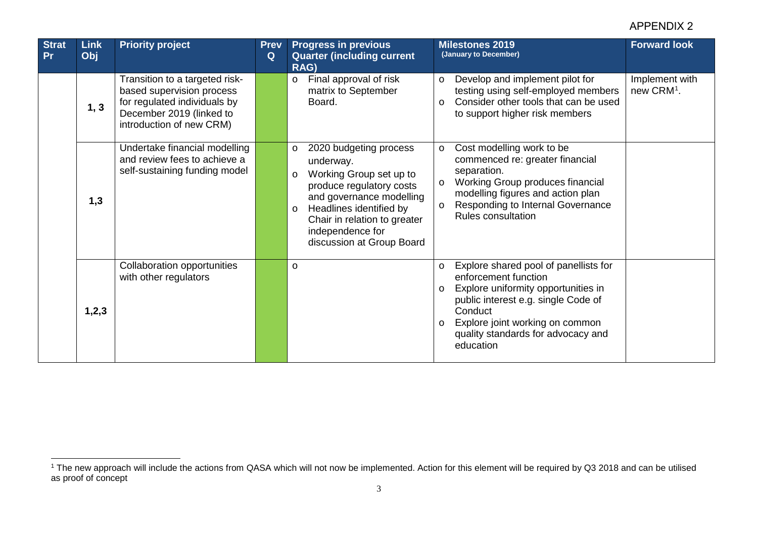<span id="page-2-0"></span>

| <b>Strat</b><br>Pr | <b>Link</b><br>Obj | <b>Priority project</b>                                                                                                                             | <b>Prev</b><br>Q | <b>Progress in previous</b><br><b>Quarter (including current)</b><br>RAG)                                                                                                                                                                                           | <b>Forward look</b><br><b>Milestones 2019</b><br>(January to December)                                                                                                                                                                                                        |
|--------------------|--------------------|-----------------------------------------------------------------------------------------------------------------------------------------------------|------------------|---------------------------------------------------------------------------------------------------------------------------------------------------------------------------------------------------------------------------------------------------------------------|-------------------------------------------------------------------------------------------------------------------------------------------------------------------------------------------------------------------------------------------------------------------------------|
|                    | 1, 3               | Transition to a targeted risk-<br>based supervision process<br>for regulated individuals by<br>December 2019 (linked to<br>introduction of new CRM) |                  | Final approval of risk<br>$\circ$<br>matrix to September<br>Board.                                                                                                                                                                                                  | Implement with<br>Develop and implement pilot for<br>$\circ$<br>testing using self-employed members<br>new CRM <sup>1</sup> .<br>Consider other tools that can be used<br>$\circ$<br>to support higher risk members                                                           |
|                    | 1,3                | Undertake financial modelling<br>and review fees to achieve a<br>self-sustaining funding model                                                      |                  | 2020 budgeting process<br>$\circ$<br>underway.<br>Working Group set up to<br>$\circ$<br>produce regulatory costs<br>and governance modelling<br>Headlines identified by<br>$\circ$<br>Chair in relation to greater<br>independence for<br>discussion at Group Board | Cost modelling work to be<br>$\circ$<br>commenced re: greater financial<br>separation.<br>Working Group produces financial<br>$\circ$<br>modelling figures and action plan<br>Responding to Internal Governance<br>$\circ$<br><b>Rules consultation</b>                       |
|                    | 1,2,3              | Collaboration opportunities<br>with other regulators                                                                                                |                  | $\circ$                                                                                                                                                                                                                                                             | Explore shared pool of panellists for<br>$\circ$<br>enforcement function<br>Explore uniformity opportunities in<br>$\circ$<br>public interest e.g. single Code of<br>Conduct<br>Explore joint working on common<br>$\circ$<br>quality standards for advocacy and<br>education |

 $\overline{a}$ 

<sup>1</sup> The new approach will include the actions from QASA which will not now be implemented. Action for this element will be required by Q3 2018 and can be utilised as proof of concept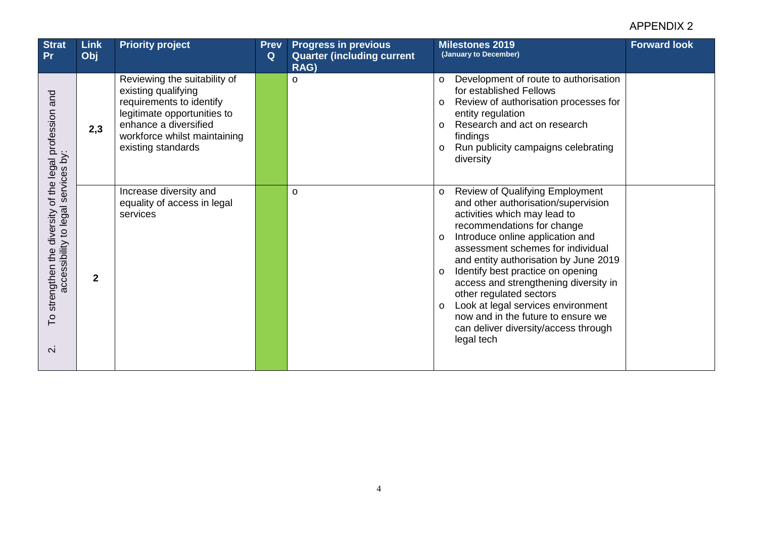| <b>Strat</b><br>Pr                                                                                         | <b>Link</b><br>Obj | <b>Priority project</b>                                                                                                                                                                       | <b>Prev</b><br>Q | <b>Progress in previous</b><br><b>Quarter (including current</b><br>RAG) | <b>Forward look</b><br><b>Milestones 2019</b><br>(January to December)                                                                                                                                                                                                                                                                                                                                                                                                                                                                               |
|------------------------------------------------------------------------------------------------------------|--------------------|-----------------------------------------------------------------------------------------------------------------------------------------------------------------------------------------------|------------------|--------------------------------------------------------------------------|------------------------------------------------------------------------------------------------------------------------------------------------------------------------------------------------------------------------------------------------------------------------------------------------------------------------------------------------------------------------------------------------------------------------------------------------------------------------------------------------------------------------------------------------------|
| and<br>iy.<br>services                                                                                     | 2,3                | Reviewing the suitability of<br>existing qualifying<br>requirements to identify<br>legitimate opportunities to<br>enhance a diversified<br>workforce whilst maintaining<br>existing standards |                  | $\circ$                                                                  | Development of route to authorisation<br>$\circ$<br>for established Fellows<br>Review of authorisation processes for<br>$\circ$<br>entity regulation<br>Research and act on research<br>$\circ$<br>findings<br>Run publicity campaigns celebrating<br>$\circ$<br>diversity                                                                                                                                                                                                                                                                           |
| strengthen the diversity of the legal profession<br>accessibility to legal<br>P<br>$\overline{\mathsf{N}}$ | $\mathbf{2}$       | Increase diversity and<br>equality of access in legal<br>services                                                                                                                             |                  | $\circ$                                                                  | <b>Review of Qualifying Employment</b><br>$\circ$<br>and other authorisation/supervision<br>activities which may lead to<br>recommendations for change<br>Introduce online application and<br>$\circ$<br>assessment schemes for individual<br>and entity authorisation by June 2019<br>Identify best practice on opening<br>$\circ$<br>access and strengthening diversity in<br>other regulated sectors<br>Look at legal services environment<br>$\circ$<br>now and in the future to ensure we<br>can deliver diversity/access through<br>legal tech |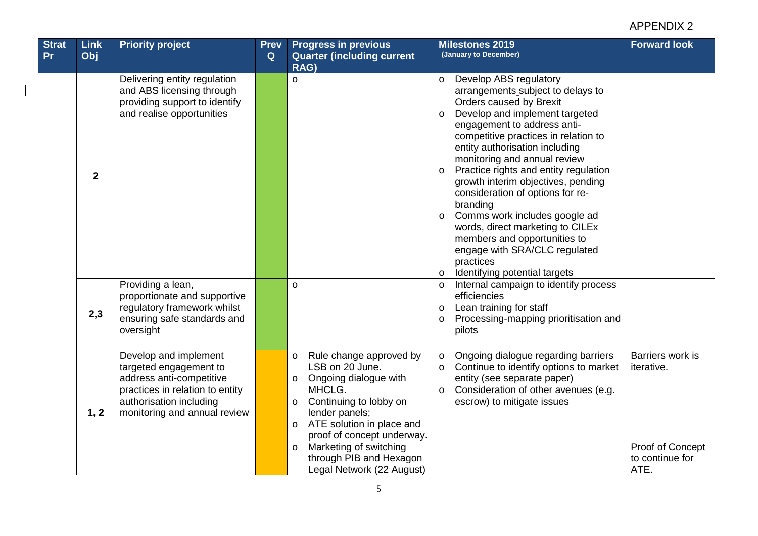| <b>Strat</b> | <b>Link</b>  | <b>Priority project</b>                                                                                                                                                   | <b>Prev</b> | <b>Progress in previous</b>                                                                                                                                                                                                                                                                                             | <b>Milestones 2019</b><br>(January to December)                                                                                                                                                                                                                                                                                                                                                                                                                                                                                                                                                                                             | <b>Forward look</b>                                                           |
|--------------|--------------|---------------------------------------------------------------------------------------------------------------------------------------------------------------------------|-------------|-------------------------------------------------------------------------------------------------------------------------------------------------------------------------------------------------------------------------------------------------------------------------------------------------------------------------|---------------------------------------------------------------------------------------------------------------------------------------------------------------------------------------------------------------------------------------------------------------------------------------------------------------------------------------------------------------------------------------------------------------------------------------------------------------------------------------------------------------------------------------------------------------------------------------------------------------------------------------------|-------------------------------------------------------------------------------|
| <b>Pr</b>    | Obj          |                                                                                                                                                                           | Q           | <b>Quarter (including current</b><br>RAG)                                                                                                                                                                                                                                                                               |                                                                                                                                                                                                                                                                                                                                                                                                                                                                                                                                                                                                                                             |                                                                               |
|              | $\mathbf{2}$ | Delivering entity regulation<br>and ABS licensing through<br>providing support to identify<br>and realise opportunities                                                   |             | $\circ$                                                                                                                                                                                                                                                                                                                 | Develop ABS regulatory<br>$\circ$<br>arrangements_subject to delays to<br>Orders caused by Brexit<br>Develop and implement targeted<br>$\circ$<br>engagement to address anti-<br>competitive practices in relation to<br>entity authorisation including<br>monitoring and annual review<br>Practice rights and entity regulation<br>$\circ$<br>growth interim objectives, pending<br>consideration of options for re-<br>branding<br>Comms work includes google ad<br>$\circ$<br>words, direct marketing to CILEx<br>members and opportunities to<br>engage with SRA/CLC regulated<br>practices<br>Identifying potential targets<br>$\circ$ |                                                                               |
|              | 2,3          | Providing a lean,<br>proportionate and supportive<br>regulatory framework whilst<br>ensuring safe standards and<br>oversight                                              |             | $\circ$                                                                                                                                                                                                                                                                                                                 | Internal campaign to identify process<br>$\circ$<br>efficiencies<br>Lean training for staff<br>$\circ$<br>Processing-mapping prioritisation and<br>$\circ$<br>pilots                                                                                                                                                                                                                                                                                                                                                                                                                                                                        |                                                                               |
|              | 1, 2         | Develop and implement<br>targeted engagement to<br>address anti-competitive<br>practices in relation to entity<br>authorisation including<br>monitoring and annual review |             | Rule change approved by<br>$\circ$<br>LSB on 20 June.<br>Ongoing dialogue with<br>O<br>MHCLG.<br>Continuing to lobby on<br>$\circ$<br>lender panels;<br>ATE solution in place and<br>$\circ$<br>proof of concept underway.<br>Marketing of switching<br>$\circ$<br>through PIB and Hexagon<br>Legal Network (22 August) | Ongoing dialogue regarding barriers<br>$\circ$<br>Continue to identify options to market<br>$\circ$<br>entity (see separate paper)<br>Consideration of other avenues (e.g.<br>$\circ$<br>escrow) to mitigate issues                                                                                                                                                                                                                                                                                                                                                                                                                         | Barriers work is<br>iterative.<br>Proof of Concept<br>to continue for<br>ATE. |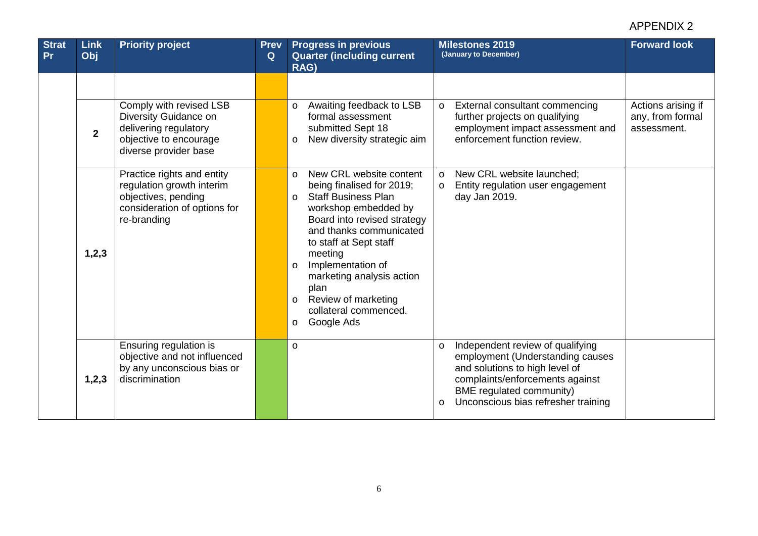| <b>Strat</b><br><b>Pr</b> | <b>Link</b><br>Obj | <b>Priority project</b>                                                                                                       | <b>Prev</b><br>Q | <b>Progress in previous</b><br><b>Quarter (including current</b><br>RAG)                                                                                                                                                                                                                                                                                                                  | <b>Milestones 2019</b><br>(January to December)                                                                                                                                                                                    | <b>Forward look</b>                    |
|---------------------------|--------------------|-------------------------------------------------------------------------------------------------------------------------------|------------------|-------------------------------------------------------------------------------------------------------------------------------------------------------------------------------------------------------------------------------------------------------------------------------------------------------------------------------------------------------------------------------------------|------------------------------------------------------------------------------------------------------------------------------------------------------------------------------------------------------------------------------------|----------------------------------------|
|                           |                    | Comply with revised LSB<br>Diversity Guidance on                                                                              |                  | Awaiting feedback to LSB<br>$\circ$<br>formal assessment                                                                                                                                                                                                                                                                                                                                  | External consultant commencing<br>$\circ$<br>further projects on qualifying                                                                                                                                                        | Actions arising if<br>any, from formal |
|                           | $\overline{2}$     | delivering regulatory<br>objective to encourage<br>diverse provider base                                                      |                  | submitted Sept 18<br>New diversity strategic aim<br>$\circ$                                                                                                                                                                                                                                                                                                                               | employment impact assessment and<br>enforcement function review.                                                                                                                                                                   | assessment.                            |
|                           | 1,2,3              | Practice rights and entity<br>regulation growth interim<br>objectives, pending<br>consideration of options for<br>re-branding |                  | New CRL website content<br>$\circ$<br>being finalised for 2019;<br><b>Staff Business Plan</b><br>$\Omega$<br>workshop embedded by<br>Board into revised strategy<br>and thanks communicated<br>to staff at Sept staff<br>meeting<br>Implementation of<br>$\circ$<br>marketing analysis action<br>plan<br>Review of marketing<br>$\circ$<br>collateral commenced.<br>Google Ads<br>$\circ$ | New CRL website launched;<br>$\circ$<br>Entity regulation user engagement<br>$\circ$<br>day Jan 2019.                                                                                                                              |                                        |
|                           | 1,2,3              | Ensuring regulation is<br>objective and not influenced<br>by any unconscious bias or<br>discrimination                        |                  | $\circ$                                                                                                                                                                                                                                                                                                                                                                                   | Independent review of qualifying<br>$\circ$<br>employment (Understanding causes<br>and solutions to high level of<br>complaints/enforcements against<br>BME regulated community)<br>Unconscious bias refresher training<br>$\circ$ |                                        |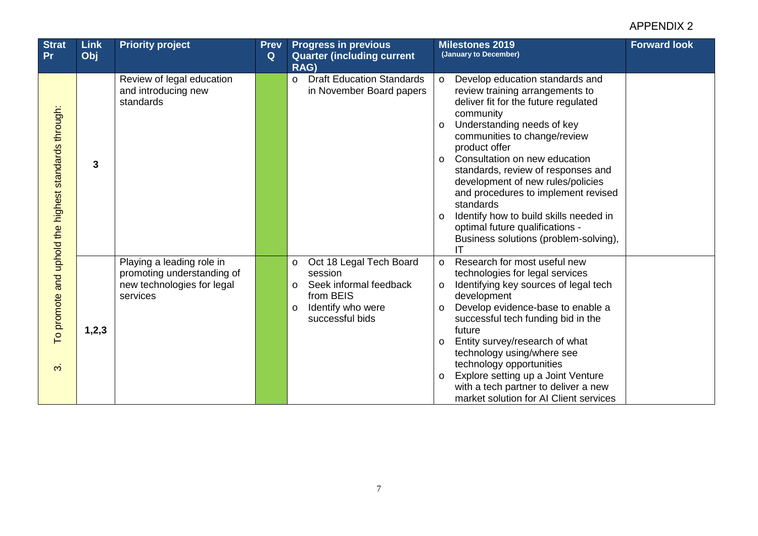| <b>Strat</b><br><b>Pr</b>                            | <b>Link</b><br>Obj | <b>Priority project</b>                                                                           | <b>Prev</b><br>Q | <b>Progress in previous</b><br><b>Quarter (including current</b><br><b>RAG)</b>                                                              | <b>Forward look</b><br><b>Milestones 2019</b><br>(January to December)                                                                                                                                                                                                                                                                                                                                                                                                                                                                   |
|------------------------------------------------------|--------------------|---------------------------------------------------------------------------------------------------|------------------|----------------------------------------------------------------------------------------------------------------------------------------------|------------------------------------------------------------------------------------------------------------------------------------------------------------------------------------------------------------------------------------------------------------------------------------------------------------------------------------------------------------------------------------------------------------------------------------------------------------------------------------------------------------------------------------------|
| To promote and uphold the highest standards through: | 3                  | Review of legal education<br>and introducing new<br>standards                                     |                  | <b>Draft Education Standards</b><br>$\circ$<br>in November Board papers                                                                      | Develop education standards and<br>$\circ$<br>review training arrangements to<br>deliver fit for the future regulated<br>community<br>Understanding needs of key<br>$\circ$<br>communities to change/review<br>product offer<br>Consultation on new education<br>$\circ$<br>standards, review of responses and<br>development of new rules/policies<br>and procedures to implement revised<br>standards<br>Identify how to build skills needed in<br>$\circ$<br>optimal future qualifications -<br>Business solutions (problem-solving), |
| $\infty$                                             | 1, 2, 3            | Playing a leading role in<br>promoting understanding of<br>new technologies for legal<br>services |                  | Oct 18 Legal Tech Board<br>$\circ$<br>session<br>Seek informal feedback<br>O<br>from BEIS<br>Identify who were<br>$\circ$<br>successful bids | Research for most useful new<br>$\circ$<br>technologies for legal services<br>Identifying key sources of legal tech<br>$\circ$<br>development<br>Develop evidence-base to enable a<br>$\circ$<br>successful tech funding bid in the<br>future<br>Entity survey/research of what<br>$\circ$<br>technology using/where see<br>technology opportunities<br>Explore setting up a Joint Venture<br>$\circ$<br>with a tech partner to deliver a new<br>market solution for AI Client services                                                  |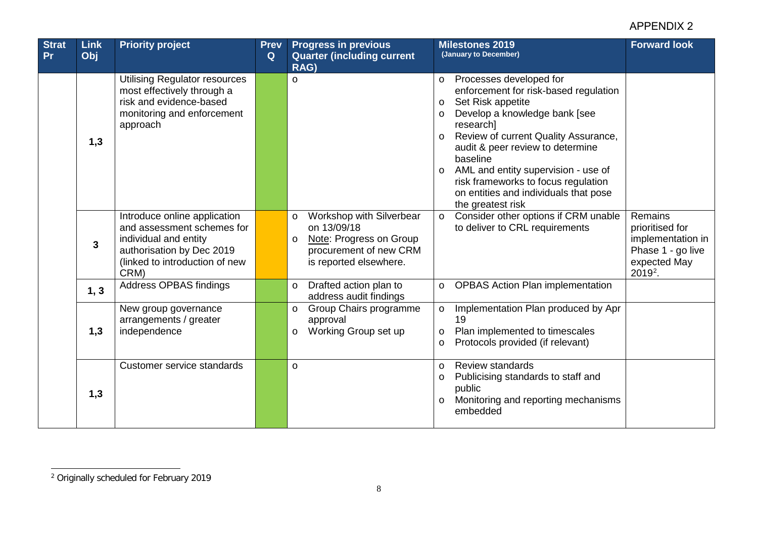<span id="page-7-0"></span>

| <b>Strat</b><br><b>Pr</b> | <b>Link</b><br>Obj | <b>Priority project</b>                                                                                                                                    | <b>Prev</b><br>Q | <b>Progress in previous</b><br><b>Quarter (including current)</b><br>RAG)                                                                    | <b>Milestones 2019</b><br><b>Forward look</b><br>(January to December)                                                                                                                                                                                                                                                                                                                                                         |
|---------------------------|--------------------|------------------------------------------------------------------------------------------------------------------------------------------------------------|------------------|----------------------------------------------------------------------------------------------------------------------------------------------|--------------------------------------------------------------------------------------------------------------------------------------------------------------------------------------------------------------------------------------------------------------------------------------------------------------------------------------------------------------------------------------------------------------------------------|
|                           | 1,3                | <b>Utilising Regulator resources</b><br>most effectively through a<br>risk and evidence-based<br>monitoring and enforcement<br>approach                    |                  | $\circ$                                                                                                                                      | Processes developed for<br>$\circ$<br>enforcement for risk-based regulation<br>Set Risk appetite<br>$\circ$<br>Develop a knowledge bank [see<br>$\circ$<br>research]<br>Review of current Quality Assurance,<br>$\circ$<br>audit & peer review to determine<br>baseline<br>AML and entity supervision - use of<br>$\circ$<br>risk frameworks to focus regulation<br>on entities and individuals that pose<br>the greatest risk |
|                           | 3                  | Introduce online application<br>and assessment schemes for<br>individual and entity<br>authorisation by Dec 2019<br>(linked to introduction of new<br>CRM) |                  | Workshop with Silverbear<br>$\circ$<br>on 13/09/18<br>Note: Progress on Group<br>$\circ$<br>procurement of new CRM<br>is reported elsewhere. | Remains<br>Consider other options if CRM unable<br>$\circ$<br>to deliver to CRL requirements<br>prioritised for<br>implementation in<br>Phase 1 - go live<br>expected May<br>2019 <sup>2</sup> .                                                                                                                                                                                                                               |
|                           | 1, 3               | Address OPBAS findings                                                                                                                                     |                  | Drafted action plan to<br>$\circ$<br>address audit findings                                                                                  | <b>OPBAS Action Plan implementation</b><br>$\circ$                                                                                                                                                                                                                                                                                                                                                                             |
|                           | 1,3                | New group governance<br>arrangements / greater<br>independence                                                                                             |                  | Group Chairs programme<br>$\circ$<br>approval<br>Working Group set up<br>$\circ$                                                             | Implementation Plan produced by Apr<br>$\circ$<br>19<br>Plan implemented to timescales<br>$\circ$<br>Protocols provided (if relevant)<br>$\circ$                                                                                                                                                                                                                                                                               |
|                           | 1,3                | Customer service standards                                                                                                                                 |                  | $\circ$                                                                                                                                      | Review standards<br>$\circ$<br>Publicising standards to staff and<br>$\circ$<br>public<br>Monitoring and reporting mechanisms<br>$\circ$<br>embedded                                                                                                                                                                                                                                                                           |

 $\overline{a}$ <sup>2</sup> Originally scheduled for February 2019